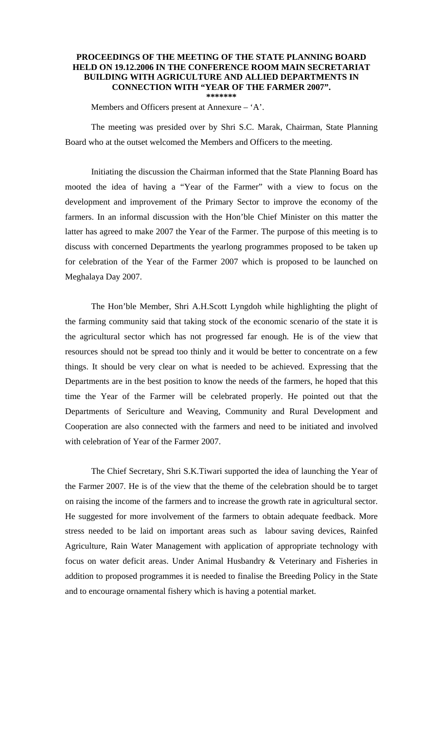## **PROCEEDINGS OF THE MEETING OF THE STATE PLANNING BOARD HELD ON 19.12.2006 IN THE CONFERENCE ROOM MAIN SECRETARIAT BUILDING WITH AGRICULTURE AND ALLIED DEPARTMENTS IN CONNECTION WITH "YEAR OF THE FARMER 2007". \*\*\*\*\*\*\***

Members and Officers present at Annexure  $-$  'A'.

 The meeting was presided over by Shri S.C. Marak, Chairman, State Planning Board who at the outset welcomed the Members and Officers to the meeting.

 Initiating the discussion the Chairman informed that the State Planning Board has mooted the idea of having a "Year of the Farmer" with a view to focus on the development and improvement of the Primary Sector to improve the economy of the farmers. In an informal discussion with the Hon'ble Chief Minister on this matter the latter has agreed to make 2007 the Year of the Farmer. The purpose of this meeting is to discuss with concerned Departments the yearlong programmes proposed to be taken up for celebration of the Year of the Farmer 2007 which is proposed to be launched on Meghalaya Day 2007.

 The Hon'ble Member, Shri A.H.Scott Lyngdoh while highlighting the plight of the farming community said that taking stock of the economic scenario of the state it is the agricultural sector which has not progressed far enough. He is of the view that resources should not be spread too thinly and it would be better to concentrate on a few things. It should be very clear on what is needed to be achieved. Expressing that the Departments are in the best position to know the needs of the farmers, he hoped that this time the Year of the Farmer will be celebrated properly. He pointed out that the Departments of Sericulture and Weaving, Community and Rural Development and Cooperation are also connected with the farmers and need to be initiated and involved with celebration of Year of the Farmer 2007.

 The Chief Secretary, Shri S.K.Tiwari supported the idea of launching the Year of the Farmer 2007. He is of the view that the theme of the celebration should be to target on raising the income of the farmers and to increase the growth rate in agricultural sector. He suggested for more involvement of the farmers to obtain adequate feedback. More stress needed to be laid on important areas such as labour saving devices, Rainfed Agriculture, Rain Water Management with application of appropriate technology with focus on water deficit areas. Under Animal Husbandry & Veterinary and Fisheries in addition to proposed programmes it is needed to finalise the Breeding Policy in the State and to encourage ornamental fishery which is having a potential market.